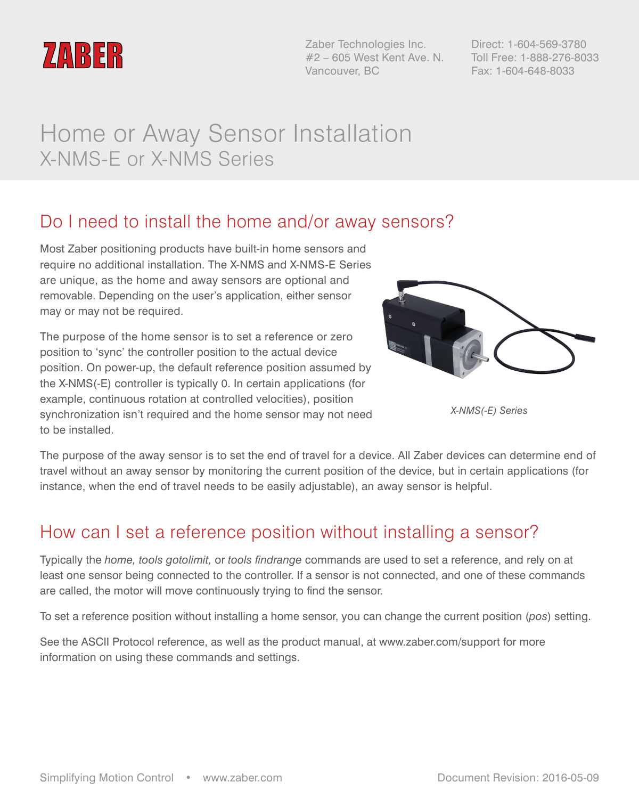

Zaber Technologies Inc. #2 – 605 West Kent Ave. N. Vancouver, BC

Direct: 1-604-569-3780 Toll Free: 1-888-276-8033 Fax: 1-604-648-8033

# Home or Away Sensor Installation X-NMS-E or X-NMS Series

### Do I need to install the home and/or away sensors?

Most Zaber positioning products have built-in home sensors and require no additional installation. The X-NMS and X-NMS-E Series are unique, as the home and away sensors are optional and removable. Depending on the user's application, either sensor may or may not be required.

The purpose of the home sensor is to set a reference or zero position to 'sync' the controller position to the actual device position. On power-up, the default reference position assumed by the X-NMS(-E) controller is typically 0. In certain applications (for example, continuous rotation at controlled velocities), position synchronization isn't required and the home sensor may not need to be installed.



*X-NMS(-E) Series*

The purpose of the away sensor is to set the end of travel for a device. All Zaber devices can determine end of travel without an away sensor by monitoring the current position of the device, but in certain applications (for instance, when the end of travel needs to be easily adjustable), an away sensor is helpful.

### How can I set a reference position without installing a sensor?

Typically the *home, tools gotolimit,* or *tools findrange* commands are used to set a reference, and rely on at least one sensor being connected to the controller. If a sensor is not connected, and one of these commands are called, the motor will move continuously trying to find the sensor.

To set a reference position without installing a home sensor, you can change the current position (*pos*) setting.

See the ASCII Protocol reference, as well as the product manual, at www.zaber.com/support for more information on using these commands and settings.